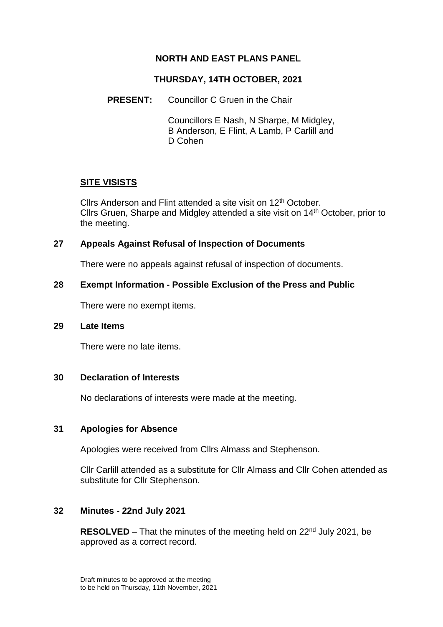# **NORTH AND EAST PLANS PANEL**

## **THURSDAY, 14TH OCTOBER, 2021**

## **PRESENT:** Councillor C Gruen in the Chair

Councillors E Nash, N Sharpe, M Midgley, B Anderson, E Flint, A Lamb, P Carlill and D Cohen

#### **SITE VISISTS**

Cllrs Anderson and Flint attended a site visit on 12<sup>th</sup> October. Cllrs Gruen, Sharpe and Midgley attended a site visit on 14th October, prior to the meeting.

#### **27 Appeals Against Refusal of Inspection of Documents**

There were no appeals against refusal of inspection of documents.

## **28 Exempt Information - Possible Exclusion of the Press and Public**

There were no exempt items.

## **29 Late Items**

There were no late items.

#### **30 Declaration of Interests**

No declarations of interests were made at the meeting.

## **31 Apologies for Absence**

Apologies were received from Cllrs Almass and Stephenson.

Cllr Carlill attended as a substitute for Cllr Almass and Cllr Cohen attended as substitute for Cllr Stephenson.

## **32 Minutes - 22nd July 2021**

**RESOLVED** – That the minutes of the meeting held on 22<sup>nd</sup> July 2021, be approved as a correct record.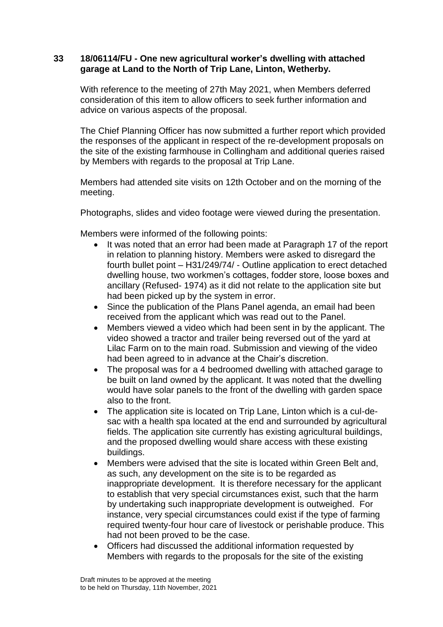## **33 18/06114/FU - One new agricultural worker's dwelling with attached garage at Land to the North of Trip Lane, Linton, Wetherby.**

With reference to the meeting of 27th May 2021, when Members deferred consideration of this item to allow officers to seek further information and advice on various aspects of the proposal.

The Chief Planning Officer has now submitted a further report which provided the responses of the applicant in respect of the re-development proposals on the site of the existing farmhouse in Collingham and additional queries raised by Members with regards to the proposal at Trip Lane.

Members had attended site visits on 12th October and on the morning of the meeting.

Photographs, slides and video footage were viewed during the presentation.

Members were informed of the following points:

- It was noted that an error had been made at Paragraph 17 of the report in relation to planning history. Members were asked to disregard the fourth bullet point – H31/249/74/ - Outline application to erect detached dwelling house, two workmen's cottages, fodder store, loose boxes and ancillary (Refused- 1974) as it did not relate to the application site but had been picked up by the system in error.
- Since the publication of the Plans Panel agenda, an email had been received from the applicant which was read out to the Panel.
- Members viewed a video which had been sent in by the applicant. The video showed a tractor and trailer being reversed out of the yard at Lilac Farm on to the main road. Submission and viewing of the video had been agreed to in advance at the Chair's discretion.
- The proposal was for a 4 bedroomed dwelling with attached garage to be built on land owned by the applicant. It was noted that the dwelling would have solar panels to the front of the dwelling with garden space also to the front.
- The application site is located on Trip Lane, Linton which is a cul-desac with a health spa located at the end and surrounded by agricultural fields. The application site currently has existing agricultural buildings, and the proposed dwelling would share access with these existing buildings.
- Members were advised that the site is located within Green Belt and, as such, any development on the site is to be regarded as inappropriate development. It is therefore necessary for the applicant to establish that very special circumstances exist, such that the harm by undertaking such inappropriate development is outweighed. For instance, very special circumstances could exist if the type of farming required twenty-four hour care of livestock or perishable produce. This had not been proved to be the case.
- Officers had discussed the additional information requested by Members with regards to the proposals for the site of the existing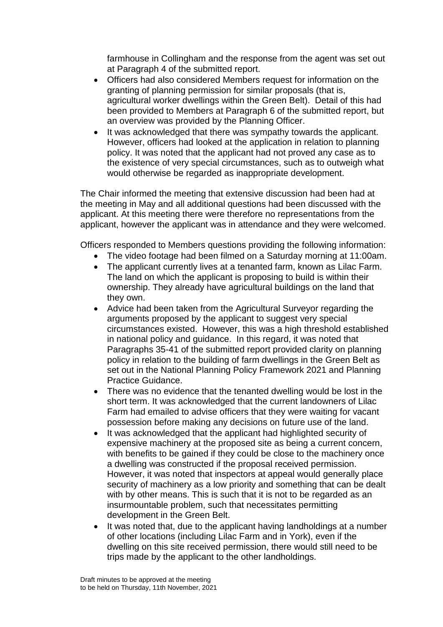farmhouse in Collingham and the response from the agent was set out at Paragraph 4 of the submitted report.

- Officers had also considered Members request for information on the granting of planning permission for similar proposals (that is, agricultural worker dwellings within the Green Belt). Detail of this had been provided to Members at Paragraph 6 of the submitted report, but an overview was provided by the Planning Officer.
- It was acknowledged that there was sympathy towards the applicant. However, officers had looked at the application in relation to planning policy. It was noted that the applicant had not proved any case as to the existence of very special circumstances, such as to outweigh what would otherwise be regarded as inappropriate development.

The Chair informed the meeting that extensive discussion had been had at the meeting in May and all additional questions had been discussed with the applicant. At this meeting there were therefore no representations from the applicant, however the applicant was in attendance and they were welcomed.

Officers responded to Members questions providing the following information:

- The video footage had been filmed on a Saturday morning at 11:00am.
- The applicant currently lives at a tenanted farm, known as Lilac Farm. The land on which the applicant is proposing to build is within their ownership. They already have agricultural buildings on the land that they own.
- Advice had been taken from the Agricultural Surveyor regarding the arguments proposed by the applicant to suggest very special circumstances existed. However, this was a high threshold established in national policy and guidance. In this regard, it was noted that Paragraphs 35-41 of the submitted report provided clarity on planning policy in relation to the building of farm dwellings in the Green Belt as set out in the National Planning Policy Framework 2021 and Planning Practice Guidance.
- There was no evidence that the tenanted dwelling would be lost in the short term. It was acknowledged that the current landowners of Lilac Farm had emailed to advise officers that they were waiting for vacant possession before making any decisions on future use of the land.
- It was acknowledged that the applicant had highlighted security of expensive machinery at the proposed site as being a current concern, with benefits to be gained if they could be close to the machinery once a dwelling was constructed if the proposal received permission. However, it was noted that inspectors at appeal would generally place security of machinery as a low priority and something that can be dealt with by other means. This is such that it is not to be regarded as an insurmountable problem, such that necessitates permitting development in the Green Belt.
- It was noted that, due to the applicant having landholdings at a number of other locations (including Lilac Farm and in York), even if the dwelling on this site received permission, there would still need to be trips made by the applicant to the other landholdings.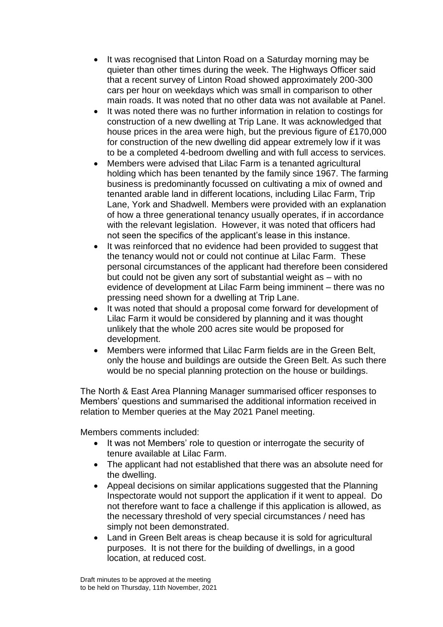- It was recognised that Linton Road on a Saturday morning may be quieter than other times during the week. The Highways Officer said that a recent survey of Linton Road showed approximately 200-300 cars per hour on weekdays which was small in comparison to other main roads. It was noted that no other data was not available at Panel.
- It was noted there was no further information in relation to costings for construction of a new dwelling at Trip Lane. It was acknowledged that house prices in the area were high, but the previous figure of £170,000 for construction of the new dwelling did appear extremely low if it was to be a completed 4-bedroom dwelling and with full access to services.
- Members were advised that Lilac Farm is a tenanted agricultural holding which has been tenanted by the family since 1967. The farming business is predominantly focussed on cultivating a mix of owned and tenanted arable land in different locations, including Lilac Farm, Trip Lane, York and Shadwell. Members were provided with an explanation of how a three generational tenancy usually operates, if in accordance with the relevant legislation. However, it was noted that officers had not seen the specifics of the applicant's lease in this instance.
- It was reinforced that no evidence had been provided to suggest that the tenancy would not or could not continue at Lilac Farm. These personal circumstances of the applicant had therefore been considered but could not be given any sort of substantial weight as – with no evidence of development at Lilac Farm being imminent – there was no pressing need shown for a dwelling at Trip Lane.
- It was noted that should a proposal come forward for development of Lilac Farm it would be considered by planning and it was thought unlikely that the whole 200 acres site would be proposed for development.
- Members were informed that Lilac Farm fields are in the Green Belt, only the house and buildings are outside the Green Belt. As such there would be no special planning protection on the house or buildings.

The North & East Area Planning Manager summarised officer responses to Members' questions and summarised the additional information received in relation to Member queries at the May 2021 Panel meeting.

Members comments included:

- It was not Members' role to question or interrogate the security of tenure available at Lilac Farm.
- The applicant had not established that there was an absolute need for the dwelling.
- Appeal decisions on similar applications suggested that the Planning Inspectorate would not support the application if it went to appeal. Do not therefore want to face a challenge if this application is allowed, as the necessary threshold of very special circumstances / need has simply not been demonstrated.
- Land in Green Belt areas is cheap because it is sold for agricultural purposes. It is not there for the building of dwellings, in a good location, at reduced cost.